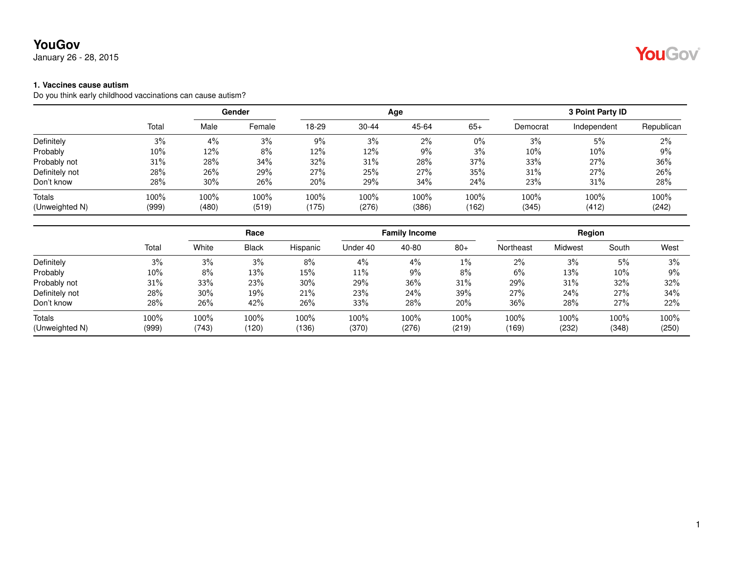January 26 - 28, 2015

#### **1. Vaccines cause autism**

Do you think early childhood vaccinations can cause autism?

|                |        |        | Gender |       |           | Age   |       |          | 3 Point Party ID |            |
|----------------|--------|--------|--------|-------|-----------|-------|-------|----------|------------------|------------|
|                | Total  | Male   | Female | 18-29 | $30 - 44$ | 45-64 | $65+$ | Democrat | Independent      | Republican |
| Definitely     | 3%     | 4%     | 3%     | 9%    | 3%        | 2%    | $0\%$ | 3%       | 5%               | 2%         |
| Probably       | $10\%$ | 12%    | 8%     | 12%   | 12%       | 9%    | 3%    | $10\%$   | 10%              | 9%         |
| Probably not   | 31%    | 28%    | 34%    | 32%   | 31%       | 28%   | 37%   | 33%      | 27%              | 36%        |
| Definitely not | 28%    | 26%    | 29%    | 27%   | 25%       | 27%   | 35%   | 31%      | 27%              | 26%        |
| Don't know     | 28%    | $30\%$ | 26%    | 20%   | 29%       | 34%   | 24%   | 23%      | 31%              | 28%        |
| <b>Totals</b>  | 100%   | 100%   | 100%   | 100%  | 100%      | 100%  | 100%  | 100%     | 100%             | 100%       |
| (Unweighted N) | (999)  | (480)  | (519)  | (175) | (276)     | (386) | (162) | (345)    | (412)            | (242)      |

|                |        |       | Race  |          | <b>Family Income</b> |       |       | <b>Region</b> |         |        |       |
|----------------|--------|-------|-------|----------|----------------------|-------|-------|---------------|---------|--------|-------|
|                | Total  | White | Black | Hispanic | Under 40             | 40-80 | $80+$ | Northeast     | Midwest | South  | West  |
| Definitely     | 3%     | 3%    | 3%    | 8%       | 4%                   | 4%    | $1\%$ | 2%            | 3%      | 5%     | 3%    |
| Probably       | $10\%$ | 8%    | 13%   | 15%      | 11%                  | 9%    | 8%    | 6%            | 13%     | $10\%$ | 9%    |
| Probably not   | 31%    | 33%   | 23%   | $30\%$   | 29%                  | 36%   | 31%   | 29%           | 31%     | 32%    | 32%   |
| Definitely not | 28%    | 30%   | 19%   | 21%      | 23%                  | 24%   | 39%   | 27%           | 24%     | 27%    | 34%   |
| Don't know     | 28%    | 26%   | 42%   | 26%      | 33%                  | 28%   | 20%   | 36%           | 28%     | 27%    | 22%   |
| Totals         | 100%   | 100%  | 100%  | $100\%$  | 100%                 | 100%  | 100%  | 100%          | 100%    | 100%   | 100%  |
| (Unweighted N) | (999)  | (743) | (120) | (136)    | (370)                | (276) | (219) | (169)         | (232)   | (348)  | (250) |

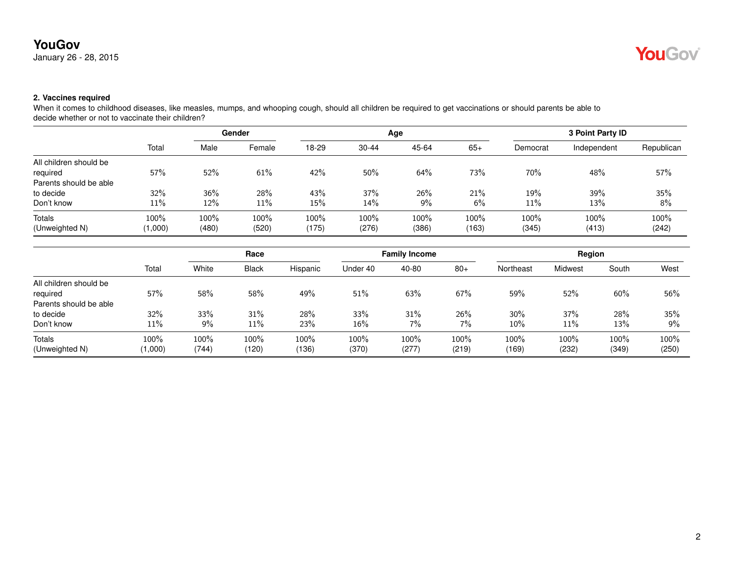January 26 - 28, 2015



### **2. Vaccines required**

When it comes to childhood diseases, like measles, mumps, and whooping cough, should all children be required to get vaccinations or should parents be able to decide whether or not to vaccinate their children?

|                        |         | <b>Gender</b> |        |       |           | Age   | 3 Point Party ID |          |             |            |
|------------------------|---------|---------------|--------|-------|-----------|-------|------------------|----------|-------------|------------|
|                        | Total   | Male          | Female | 18-29 | $30 - 44$ | 45-64 | $65+$            | Democrat | Independent | Republican |
| All children should be |         |               |        |       |           |       |                  |          |             |            |
| required               | 57%     | 52%           | 61%    | 42%   | 50%       | 64%   | 73%              | 70%      | 48%         | 57%        |
| Parents should be able |         |               |        |       |           |       |                  |          |             |            |
| to decide              | 32%     | 36%           | 28%    | 43%   | 37%       | 26%   | 21%              | 19%      | 39%         | 35%        |
| Don't know             | $11\%$  | 12%           | 11%    | 15%   | 14%       | $9\%$ | 6%               | 11%      | 13%         | 8%         |
| Totals                 | 100%    | 100%          | 100%   | 100%  | 100%      | 100%  | $100\%$          | 100%     | 100%        | 100%       |
| (Unweighted N)         | (1,000) | (480)         | (520)  | (175) | (276)     | (386) | (163)            | (345)    | (413)       | (242)      |

|                        |         | Race  |              | <b>Family Income</b> |          |       | Region |           |         |       |       |
|------------------------|---------|-------|--------------|----------------------|----------|-------|--------|-----------|---------|-------|-------|
|                        | Total   | White | <b>Black</b> | Hispanic             | Under 40 | 40-80 | $80+$  | Northeast | Midwest | South | West  |
| All children should be |         |       |              |                      |          |       |        |           |         |       |       |
| required               | 57%     | 58%   | 58%          | 49%                  | 51%      | 63%   | 67%    | 59%       | 52%     | 60%   | 56%   |
| Parents should be able |         |       |              |                      |          |       |        |           |         |       |       |
| to decide              | 32%     | 33%   | 31%          | 28%                  | 33%      | 31%   | 26%    | $30\%$    | 37%     | 28%   | 35%   |
| Don't know             | 11%     | $9\%$ | 11%          | 23%                  | $16\%$   | 7%    | 7%     | $10\%$    | 11%     | 13%   | 9%    |
| Totals                 | 100%    | 100%  | 100%         | 100%                 | 100%     | 100%  | 100%   | 100%      | 100%    | 100%  | 100%  |
| (Unweighted N)         | (1,000) | (744) | (120)        | (136)                | (370)    | (277) | (219)  | (169)     | (232)   | (349) | (250) |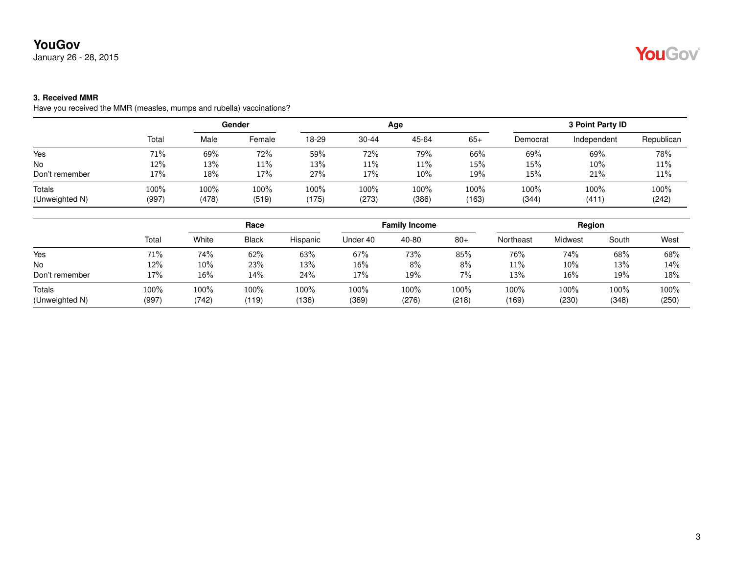January 26 - 28, 2015

# YouGov®

### **3. Received MMR**

Have you received the MMR (measles, mumps and rubella) vaccinations?

|                          |               |               | Gender        |               |               | Age           |               |               | 3 Point Party ID |               |
|--------------------------|---------------|---------------|---------------|---------------|---------------|---------------|---------------|---------------|------------------|---------------|
|                          | Total         | Male          | Female        | 18-29         | $30 - 44$     | 45-64         | $65+$         | Democrat      | Independent      | Republican    |
| Yes                      | 71%           | 69%           | 72%           | 59%           | 72%           | 79%           | 66%           | 69%           | 69%              | 78%           |
| <b>No</b>                | 12%           | 13%           | 11%           | 13%           | 11%           | 11%           | 15%           | 15%           | $10\%$           | 11%           |
| Don't remember           | 17%           | 18%           | 17%           | 27%           | 17%           | 10%           | 19%           | $15\%$        | 21%              | 11%           |
| Totals<br>(Unweighted N) | 100%<br>(997) | 100%<br>(478) | 100%<br>(519) | 100%<br>(175) | 100%<br>(273) | 100%<br>(386) | 100%<br>(163) | 100%<br>(344) | 100%<br>(411)    | 100%<br>(242) |

|                                 | Race          |               |               | <b>Family Income</b> |               |               | Region        |               |               |               |               |
|---------------------------------|---------------|---------------|---------------|----------------------|---------------|---------------|---------------|---------------|---------------|---------------|---------------|
|                                 | Total         | White         | <b>Black</b>  | Hispanic             | Under 40      | 40-80         | $80+$         | Northeast     | Midwest       | South         | West          |
| Yes                             | 71%           | 74%           | 62%           | 63%                  | 67%           | 73%           | 85%           | 76%           | 74%           | 68%           | 68%           |
| No                              | 12%           | 10%           | 23%           | 13%                  | 16%           | 8%            | 8%            | 11%           | $10\%$        | 13%           | 14%           |
| Don't remember                  | 17%           | 16%           | 14%           | 24%                  | 17%           | 19%           | $7\%$         | 13%           | 16%           | 19%           | 18%           |
| <b>Totals</b><br>(Unweighted N) | 100%<br>(997) | 100%<br>(742) | 100%<br>(119) | 100%<br>(136)        | 100%<br>(369) | 100%<br>(276) | 100%<br>(218) | 100%<br>(169) | 100%<br>(230) | 100%<br>(348) | 100%<br>(250) |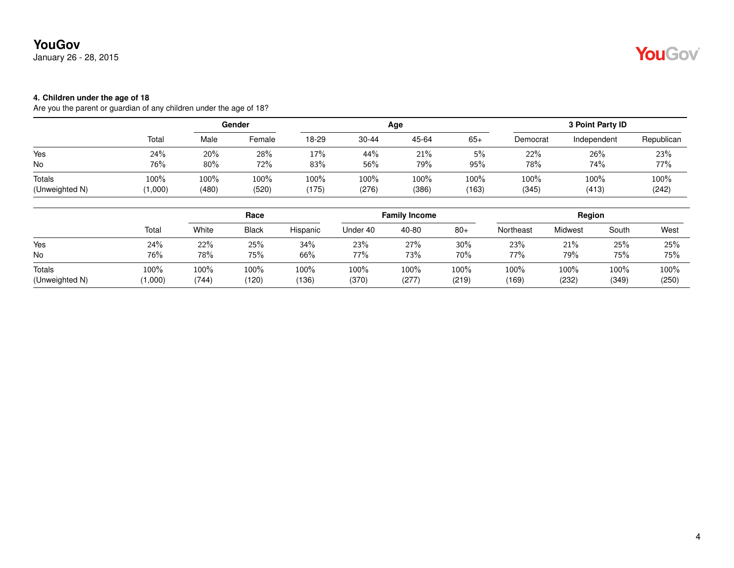January 26 - 28, 2015

# YouGov®

#### **4. Children under the age of 18**

Are you the parent or guardian of any children under the age of 18?

|                |         |       | Gender |       |           | Age   |       |          | 3 Point Party ID |            |
|----------------|---------|-------|--------|-------|-----------|-------|-------|----------|------------------|------------|
|                | Total   | Male  | Female | 18-29 | $30 - 44$ | 45-64 | $65+$ | Democrat | Independent      | Republican |
| Yes            | 24%     | 20%   | 28%    | 17%   | 44%       | 21%   | 5%    | 22%      | 26%              | 23%        |
| <b>No</b>      | 76%     | 80%   | 72%    | 83%   | 56%       | 79%   | 95%   | 78%      | 74%              | 77%        |
| Totals         | 100%    | 100%  | 100%   | 100%  | 100%      | 100%  | 100%  | 100%     | 100%             | 100%       |
| (Unweighted N) | (1,000) | (480) | (520)  | (175) | (276)     | (386) | (163) | (345)    | (413)            | (242)      |

|                |         | Race  |              |          |          | <b>Family Income</b> |       | Region    |         |       |       |
|----------------|---------|-------|--------------|----------|----------|----------------------|-------|-----------|---------|-------|-------|
|                | Total   | White | <b>Black</b> | Hispanic | Under 40 | 40-80                | $80+$ | Northeast | Midwest | South | West  |
| Yes            | 24%     | 22%   | 25%          | 34%      | 23%      | 27%                  | 30%   | 23%       | 21%     | 25%   | 25%   |
| No             | 76%     | 78%   | 75%          | 66%      | 77%      | 73%                  | 70%   | 77%       | 79%     | 75%   | 75%   |
| Totals         | 100%    | 100%  | 100%         | $100\%$  | 100%     | 100%                 | 100%  | 100%      | 100%    | 100%  | 100%  |
| (Unweighted N) | (1,000) | (744) | (120)        | (136)    | (370)    | (277)                | (219) | (169)     | (232)   | (349) | (250) |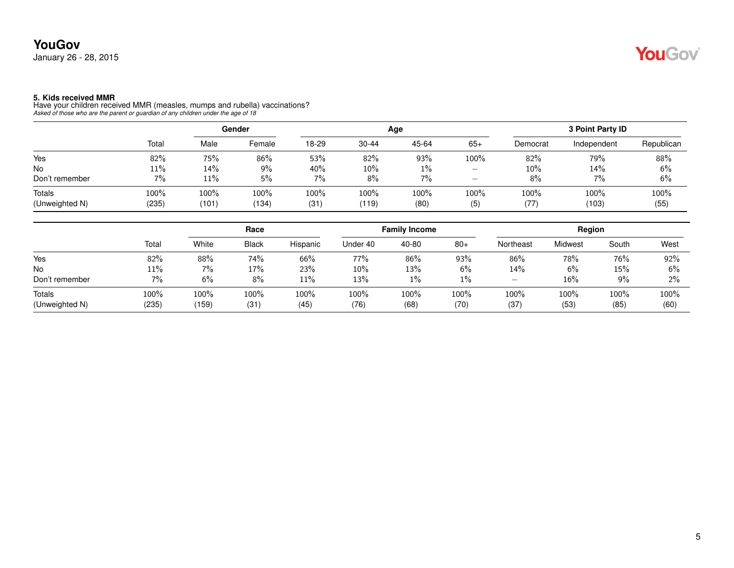**5. Kids received MMR** Have your children received MMR (measles, mumps and rubella) vaccinations? *Asked of those who are the parent or guardian of any children under the age of 18*

|                |        | Gender |        |       |           | Age   |                          | 3 Point Party ID |             |            |  |
|----------------|--------|--------|--------|-------|-----------|-------|--------------------------|------------------|-------------|------------|--|
|                | Total  | Male   | Female | 18-29 | $30 - 44$ | 45-64 | $65+$                    | Democrat         | Independent | Republican |  |
| Yes            | 82%    | 75%    | 86%    | 53%   | 82%       | 93%   | 100%                     | 82%              | 79%         | 88%        |  |
| <b>No</b>      | $11\%$ | 14%    | 9%     | 40%   | $10\%$    | $1\%$ | $\overline{\phantom{m}}$ | $10\%$           | 14%         | 6%         |  |
| Don't remember | 7%     | 11%    | 5%     | $7\%$ | 8%        | $7\%$ | -                        | 8%               | 7%          | 6%         |  |
| Totals         | 100%   | 100%   | 100%   | 100%  | 100%      | 100%  | 100%                     | $100\%$          | 100%        | 100%       |  |
| (Unweighted N) | (235)  | (101)  | (134)  | (31)  | (119)     | (80)  | (5)                      | (77)             | (103)       | (55)       |  |

|                |       | Race  |              |          |          | <b>Family Income</b> |       | Region                   |         |       |      |
|----------------|-------|-------|--------------|----------|----------|----------------------|-------|--------------------------|---------|-------|------|
|                | Total | White | <b>Black</b> | Hispanic | Under 40 | 40-80                | $80+$ | Northeast                | Midwest | South | West |
| Yes            | 82%   | 88%   | 74%          | 66%      | 77%      | 86%                  | 93%   | 86%                      | 78%     | 76%   | 92%  |
| No             | 11%   | 7%    | 17%          | 23%      | 10%      | 13%                  | 6%    | 14%                      | 6%      | 15%   | 6%   |
| Don't remember | 7%    | 6%    | 8%           | 11%      | 13%      | 1%                   | $1\%$ | $\overline{\phantom{0}}$ | 16%     | $9\%$ | 2%   |
| Totals         | 100%  | 100%  | 100%         | 100%     | 100%     | 100%                 | 100%  | 100%                     | 100%    | 100%  | 100% |
| (Unweighted N) | (235) | (159) | (31          | (45)     | (76)     | (68)                 | (70)  | (37                      | (53)    | (85)  | (60) |